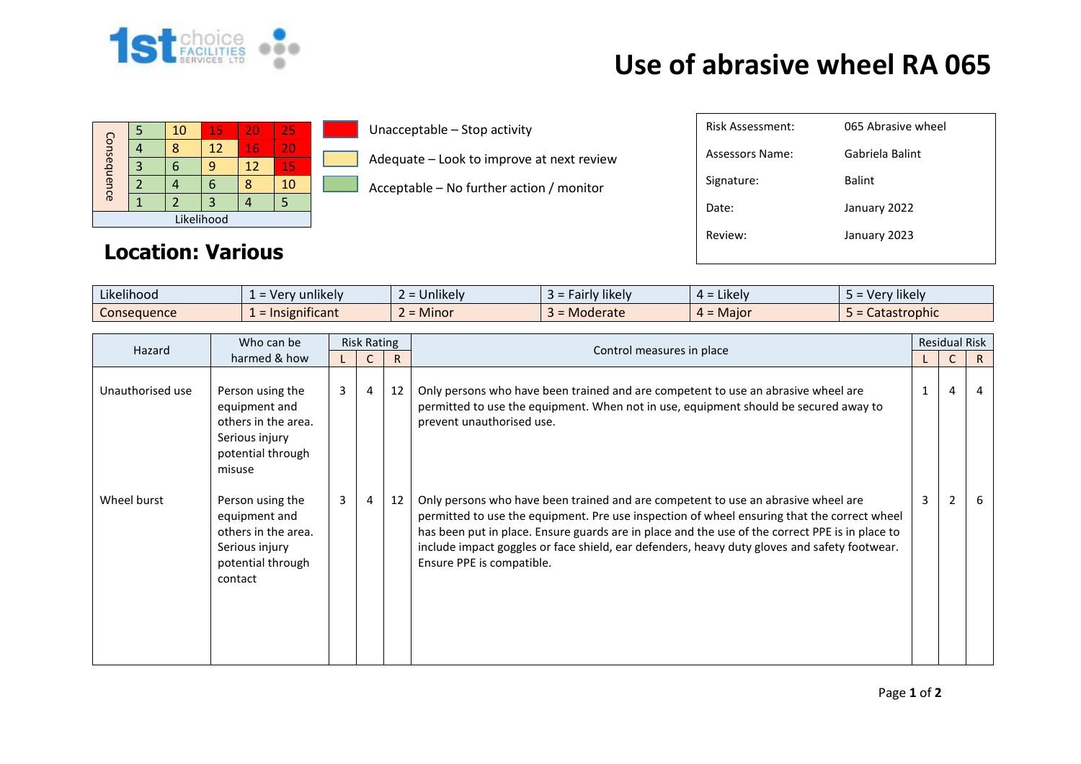

## **Use of abrasive wheel RA 065**

| Consequence |  | 10 | 15 | 20       | 25 |  |  |
|-------------|--|----|----|----------|----|--|--|
|             |  |    | 12 | 16       | 20 |  |  |
|             |  |    |    | 15<br>12 |    |  |  |
|             |  |    |    |          | 10 |  |  |
|             |  |    | 3  |          |    |  |  |
| Likelihood  |  |    |    |          |    |  |  |

Unacceptable – Stop activity

Adequate – Look to improve at next review

Acceptable – No further action / monitor

| Risk Assessment:       | 065 Abrasive wheel |
|------------------------|--------------------|
| <b>Assessors Name:</b> | Gabriela Balint    |
| Signature:             | <b>Balint</b>      |
| Date:                  | January 2022       |
| Review:                | January 2023       |
|                        |                    |

## **Location: Various**

| Likelihood<br>$\cdots$ | 'v unlikelv<br>. ver            | $\cdots$<br>$\sim$<br><b>Unlikely</b>               | Fairly likely<br>-2- | $\cdots$<br>$4 =$ Likely | Very likely  |
|------------------------|---------------------------------|-----------------------------------------------------|----------------------|--------------------------|--------------|
| Consequence            | .<br>$\epsilon$ = Insignificant | <b>A</b> $A$ <sup>+</sup><br>$\sim$<br><b>Minor</b> | Moderate             | $4 =$ Maior              | Catastrophic |

| Who can be<br>Hazard<br>harmed & how | <b>Risk Rating</b>                                                                                         |                |   |                           | <b>Residual Risk</b>                                                                                                                                                                                                                                                                                                                                                                                             |   |                          |   |
|--------------------------------------|------------------------------------------------------------------------------------------------------------|----------------|---|---------------------------|------------------------------------------------------------------------------------------------------------------------------------------------------------------------------------------------------------------------------------------------------------------------------------------------------------------------------------------------------------------------------------------------------------------|---|--------------------------|---|
|                                      |                                                                                                            |                | R | Control measures in place |                                                                                                                                                                                                                                                                                                                                                                                                                  |   | R.                       |   |
| Unauthorised use                     | Person using the<br>equipment and<br>others in the area.<br>Serious injury<br>potential through<br>misuse  | 3 <sup>1</sup> | 4 | 12                        | Only persons who have been trained and are competent to use an abrasive wheel are<br>permitted to use the equipment. When not in use, equipment should be secured away to<br>prevent unauthorised use.                                                                                                                                                                                                           |   | 4                        |   |
| Wheel burst                          | Person using the<br>equipment and<br>others in the area.<br>Serious injury<br>potential through<br>contact | $\mathbf{3}$   | 4 | 12                        | Only persons who have been trained and are competent to use an abrasive wheel are<br>permitted to use the equipment. Pre use inspection of wheel ensuring that the correct wheel<br>has been put in place. Ensure guards are in place and the use of the correct PPE is in place to<br>include impact goggles or face shield, ear defenders, heavy duty gloves and safety footwear.<br>Ensure PPE is compatible. | 3 | $\overline{\phantom{a}}$ | 6 |